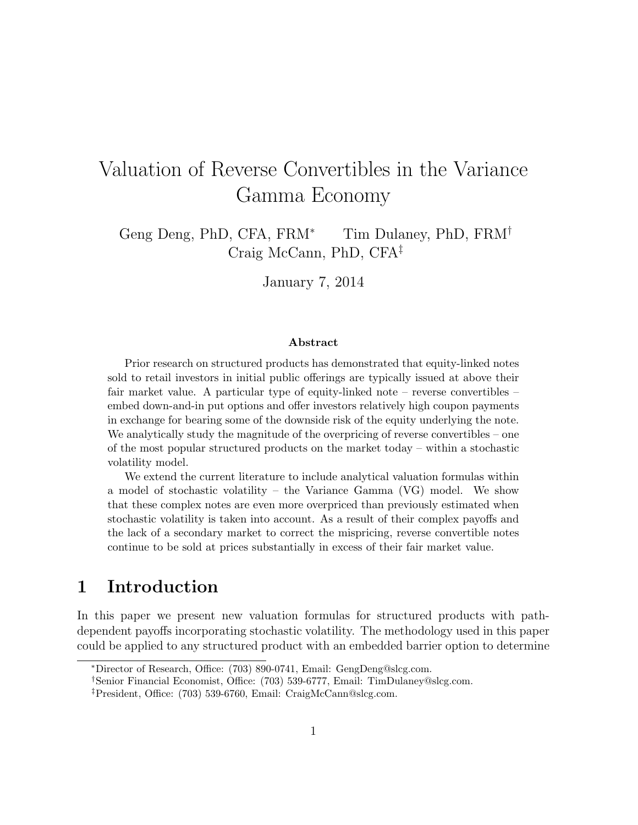# <span id="page-0-0"></span>Valuation of Reverse Convertibles in the Variance Gamma Economy

Geng Deng, PhD, CFA, FRM<sup>\*</sup> Tim Dulaney, PhD, FRM<sup>†</sup> Craig McCann, PhD, CFA‡

January 7, 2014

#### Abstract

Prior research on structured products has demonstrated that equity-linked notes sold to retail investors in initial public offerings are typically issued at above their fair market value. A particular type of equity-linked note – reverse convertibles – embed down-and-in put options and offer investors relatively high coupon payments in exchange for bearing some of the downside risk of the equity underlying the note. We analytically study the magnitude of the overpricing of reverse convertibles – one of the most popular structured products on the market today – within a stochastic volatility model.

We extend the current literature to include analytical valuation formulas within a model of stochastic volatility – the Variance Gamma (VG) model. We show that these complex notes are even more overpriced than previously estimated when stochastic volatility is taken into account. As a result of their complex payoffs and the lack of a secondary market to correct the mispricing, reverse convertible notes continue to be sold at prices substantially in excess of their fair market value.

# 1 Introduction

In this paper we present new valuation formulas for structured products with pathdependent payoffs incorporating stochastic volatility. The methodology used in this paper could be applied to any structured product with an embedded barrier option to determine

<sup>∗</sup>Director of Research, Office: (703) 890-0741, Email: GengDeng@slcg.com.

<sup>†</sup>Senior Financial Economist, Office: (703) 539-6777, Email: TimDulaney@slcg.com.

<sup>‡</sup>President, Office: (703) 539-6760, Email: CraigMcCann@slcg.com.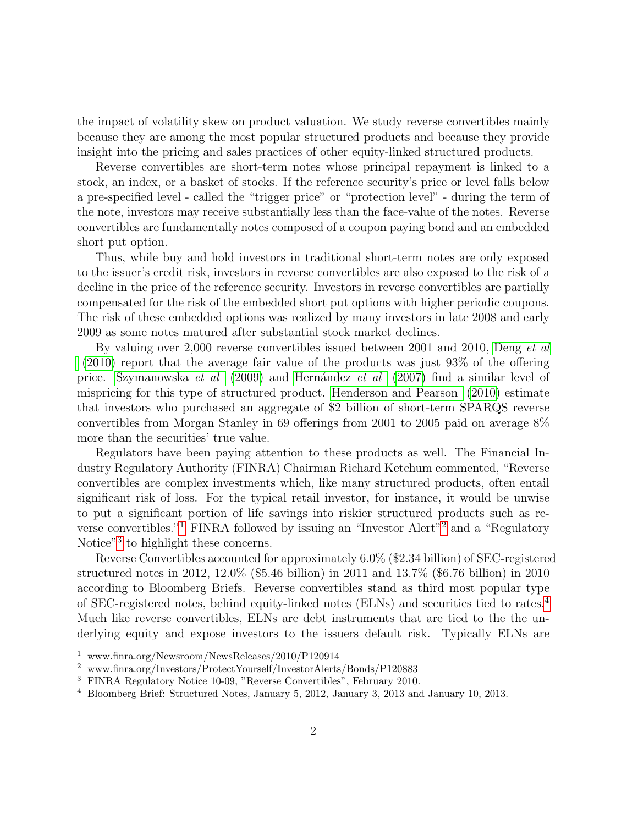the impact of volatility skew on product valuation. We study reverse convertibles mainly because they are among the most popular structured products and because they provide insight into the pricing and sales practices of other equity-linked structured products.

Reverse convertibles are short-term notes whose principal repayment is linked to a stock, an index, or a basket of stocks. If the reference security's price or level falls below a pre-specified level - called the "trigger price" or "protection level" - during the term of the note, investors may receive substantially less than the face-value of the notes. Reverse convertibles are fundamentally notes composed of a coupon paying bond and an embedded short put option.

Thus, while buy and hold investors in traditional short-term notes are only exposed to the issuer's credit risk, investors in reverse convertibles are also exposed to the risk of a decline in the price of the reference security. Investors in reverse convertibles are partially compensated for the risk of the embedded short put options with higher periodic coupons. The risk of these embedded options was realized by many investors in late 2008 and early 2009 as some notes matured after substantial stock market declines.

By valuing over 2,000 reverse convertibles issued between 2001 and 2010, [Deng](#page-18-0) *et al* [\(2010\)](#page-18-0) report that the average fair value of the products was just 93% of the offering price. [Szymanowska](#page-19-0) et al [\(2009\)](#page-19-0) and Hernández et al [\(2007\)](#page-18-1) find a similar level of mispricing for this type of structured product. [Henderson and Pearson \(2010\)](#page-18-2) estimate that investors who purchased an aggregate of \$2 billion of short-term SPARQS reverse convertibles from Morgan Stanley in 69 offerings from 2001 to 2005 paid on average 8% more than the securities' true value.

Regulators have been paying attention to these products as well. The Financial Industry Regulatory Authority (FINRA) Chairman Richard Ketchum commented, "Reverse convertibles are complex investments which, like many structured products, often entail significant risk of loss. For the typical retail investor, for instance, it would be unwise to put a significant portion of life savings into riskier structured products such as reverse convertibles."[1](#page-0-0) FINRA followed by issuing an "Investor Alert"[2](#page-0-0) and a "Regulatory Notice<sup>"[3](#page-0-0)</sup> to highlight these concerns.

Reverse Convertibles accounted for approximately 6.0% (\$2.34 billion) of SEC-registered structured notes in 2012, 12.0% (\$5.46 billion) in 2011 and 13.7% (\$6.76 billion) in 2010 according to Bloomberg Briefs. Reverse convertibles stand as third most popular type of SEC-registered notes, behind equity-linked notes (ELNs) and securities tied to rates.[4](#page-0-0) Much like reverse convertibles, ELNs are debt instruments that are tied to the the underlying equity and expose investors to the issuers default risk. Typically ELNs are

<sup>1</sup> www.finra.org/Newsroom/NewsReleases/2010/P120914

<sup>2</sup> www.finra.org/Investors/ProtectYourself/InvestorAlerts/Bonds/P120883

<sup>3</sup> FINRA Regulatory Notice 10-09, "Reverse Convertibles", February 2010.

<sup>4</sup> Bloomberg Brief: Structured Notes, January 5, 2012, January 3, 2013 and January 10, 2013.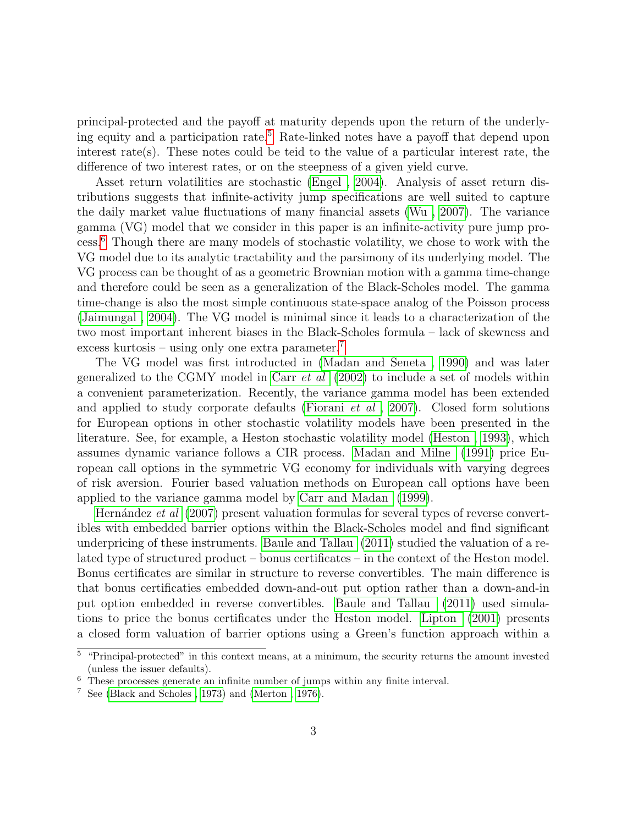principal-protected and the payoff at maturity depends upon the return of the underly-ing equity and a participation rate.<sup>[5](#page-0-0)</sup> Rate-linked notes have a payoff that depend upon interest rate(s). These notes could be teid to the value of a particular interest rate, the difference of two interest rates, or on the steepness of a given yield curve.

Asset return volatilities are stochastic [\(Engel , 2004\)](#page-18-3). Analysis of asset return distributions suggests that infinite-activity jump specifications are well suited to capture the daily market value fluctuations of many financial assets [\(Wu , 2007\)](#page-19-1). The variance gamma (VG) model that we consider in this paper is an infinite-activity pure jump process.[6](#page-0-0) Though there are many models of stochastic volatility, we chose to work with the VG model due to its analytic tractability and the parsimony of its underlying model. The VG process can be thought of as a geometric Brownian motion with a gamma time-change and therefore could be seen as a generalization of the Black-Scholes model. The gamma time-change is also the most simple continuous state-space analog of the Poisson process [\(Jaimungal , 2004\)](#page-18-4). The VG model is minimal since it leads to a characterization of the two most important inherent biases in the Black-Scholes formula – lack of skewness and excess kurtosis – using only one extra parameter.<sup>[7](#page-0-0)</sup>

The VG model was first introducted in [\(Madan and Seneta , 1990\)](#page-19-2) and was later generalized to the CGMY model in [Carr](#page-18-5) et al [\(2002\)](#page-18-5) to include a set of models within a convenient parameterization. Recently, the variance gamma model has been extended and applied to study corporate defaults [\(Fiorani](#page-18-6) *et al*, [2007\)](#page-18-6). Closed form solutions for European options in other stochastic volatility models have been presented in the literature. See, for example, a Heston stochastic volatility model [\(Heston , 1993\)](#page-18-7), which assumes dynamic variance follows a CIR process. [Madan and Milne \(1991\)](#page-19-3) price European call options in the symmetric VG economy for individuals with varying degrees of risk aversion. Fourier based valuation methods on European call options have been applied to the variance gamma model by [Carr and Madan \(1999\)](#page-18-8).

Hernández et al [\(2007\)](#page-18-1) present valuation formulas for several types of reverse convertibles with embedded barrier options within the Black-Scholes model and find significant underpricing of these instruments. [Baule and Tallau \(2011\)](#page-17-0) studied the valuation of a related type of structured product – bonus certificates – in the context of the Heston model. Bonus certificates are similar in structure to reverse convertibles. The main difference is that bonus certificaties embedded down-and-out put option rather than a down-and-in put option embedded in reverse convertibles. [Baule and Tallau \(2011\)](#page-17-0) used simulations to price the bonus certificates under the Heston model. [Lipton \(2001\)](#page-19-4) presents a closed form valuation of barrier options using a Green's function approach within a

<sup>5</sup> "Principal-protected" in this context means, at a minimum, the security returns the amount invested (unless the issuer defaults).

 $6$  These processes generate an infinite number of jumps within any finite interval.

<sup>7</sup> See [\(Black and Scholes , 1973\)](#page-18-9) and [\(Merton , 1976\)](#page-19-5).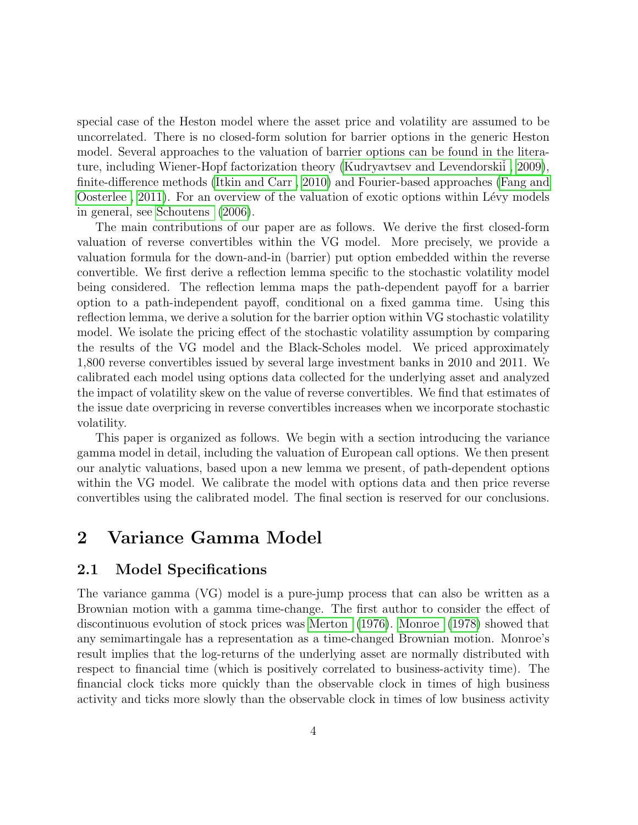special case of the Heston model where the asset price and volatility are assumed to be uncorrelated. There is no closed-form solution for barrier options in the generic Heston model. Several approaches to the valuation of barrier options can be found in the literature, including Wiener-Hopf factorization theory (Kudryavtsev and Levendorskii, 2009), finite-difference methods [\(Itkin and Carr , 2010\)](#page-18-11) and Fourier-based approaches [\(Fang and](#page-18-12) Oosterlee, 2011). For an overview of the valuation of exotic options within Lévy models in general, see [Schoutens \(2006\)](#page-19-6).

The main contributions of our paper are as follows. We derive the first closed-form valuation of reverse convertibles within the VG model. More precisely, we provide a valuation formula for the down-and-in (barrier) put option embedded within the reverse convertible. We first derive a reflection lemma specific to the stochastic volatility model being considered. The reflection lemma maps the path-dependent payoff for a barrier option to a path-independent payoff, conditional on a fixed gamma time. Using this reflection lemma, we derive a solution for the barrier option within VG stochastic volatility model. We isolate the pricing effect of the stochastic volatility assumption by comparing the results of the VG model and the Black-Scholes model. We priced approximately 1,800 reverse convertibles issued by several large investment banks in 2010 and 2011. We calibrated each model using options data collected for the underlying asset and analyzed the impact of volatility skew on the value of reverse convertibles. We find that estimates of the issue date overpricing in reverse convertibles increases when we incorporate stochastic volatility.

This paper is organized as follows. We begin with a section introducing the variance gamma model in detail, including the valuation of European call options. We then present our analytic valuations, based upon a new lemma we present, of path-dependent options within the VG model. We calibrate the model with options data and then price reverse convertibles using the calibrated model. The final section is reserved for our conclusions.

### 2 Variance Gamma Model

#### 2.1 Model Specifications

The variance gamma (VG) model is a pure-jump process that can also be written as a Brownian motion with a gamma time-change. The first author to consider the effect of discontinuous evolution of stock prices was [Merton \(1976\)](#page-19-5). [Monroe \(1978\)](#page-19-7) showed that any semimartingale has a representation as a time-changed Brownian motion. Monroe's result implies that the log-returns of the underlying asset are normally distributed with respect to financial time (which is positively correlated to business-activity time). The financial clock ticks more quickly than the observable clock in times of high business activity and ticks more slowly than the observable clock in times of low business activity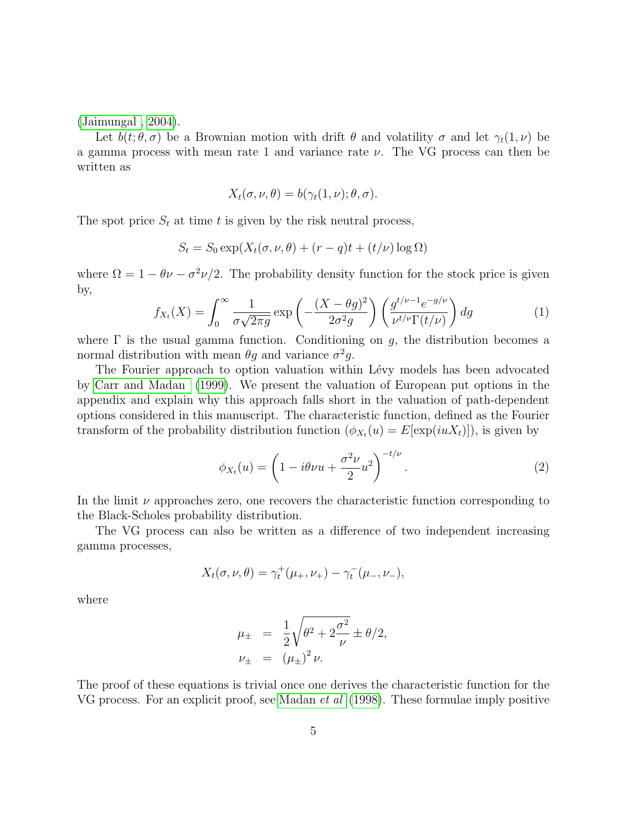[\(Jaimungal , 2004\)](#page-18-4).

Let  $b(t; \theta, \sigma)$  be a Brownian motion with drift  $\theta$  and volatility  $\sigma$  and let  $\gamma_t(1, \nu)$  be a gamma process with mean rate 1 and variance rate  $\nu$ . The VG process can then be written as

$$
X_t(\sigma,\nu,\theta) = b(\gamma_t(1,\nu);\theta,\sigma).
$$

The spot price  $S_t$  at time t is given by the risk neutral process,

$$
S_t = S_0 \exp(X_t(\sigma, \nu, \theta) + (r - q)t + (t/\nu) \log \Omega)
$$

where  $\Omega = 1 - \theta \nu - \sigma^2 \nu/2$ . The probability density function for the stock price is given by,

$$
f_{X_t}(X) = \int_0^\infty \frac{1}{\sigma \sqrt{2\pi g}} \exp\left(-\frac{(X - \theta g)^2}{2\sigma^2 g}\right) \left(\frac{g^{t/\nu - 1} e^{-g/\nu}}{\nu^{t/\nu} \Gamma(t/\nu)}\right) dg\tag{1}
$$

where  $\Gamma$  is the usual gamma function. Conditioning on g, the distribution becomes a normal distribution with mean  $\theta g$  and variance  $\sigma^2 g$ .

The Fourier approach to option valuation within Lévy models has been advocated by [Carr and Madan \(1999\)](#page-18-8). We present the valuation of European put options in the appendix and explain why this approach falls short in the valuation of path-dependent options considered in this manuscript. The characteristic function, defined as the Fourier transform of the probability distribution function  $(\phi_{X_t}(u) = E[\exp(iuX_t)]$ , is given by

$$
\phi_{X_t}(u) = \left(1 - i\theta \nu u + \frac{\sigma^2 \nu}{2} u^2\right)^{-t/\nu}.
$$
\n(2)

In the limit  $\nu$  approaches zero, one recovers the characteristic function corresponding to the Black-Scholes probability distribution.

The VG process can also be written as a difference of two independent increasing gamma processes,

$$
X_t(\sigma, \nu, \theta) = \gamma_t^+(\mu_+, \nu_+) - \gamma_t^-(\mu_-, \nu_-),
$$

where

$$
\mu_{\pm} = \frac{1}{2} \sqrt{\theta^2 + 2\frac{\sigma^2}{\nu}} \pm \theta/2, \nu_{\pm} = (\mu_{\pm})^2 \nu.
$$

The proof of these equations is trivial once one derives the characteristic function for the VG process. For an explicit proof, see [Madan](#page-19-8) *et al* [\(1998\)](#page-19-8). These formulae imply positive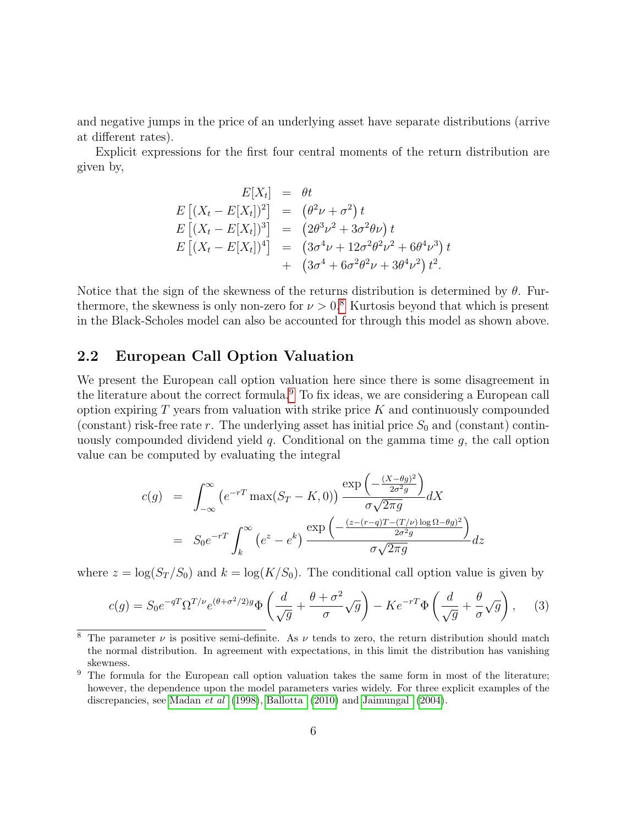and negative jumps in the price of an underlying asset have separate distributions (arrive at different rates).

Explicit expressions for the first four central moments of the return distribution are given by,

$$
E[X_t] = \theta t
$$
  
\n
$$
E [(X_t - E[X_t])^2] = (\theta^2 \nu + \sigma^2) t
$$
  
\n
$$
E [(X_t - E[X_t])^3] = (2\theta^3 \nu^2 + 3\sigma^2 \theta \nu) t
$$
  
\n
$$
E [(X_t - E[X_t])^4] = (3\sigma^4 \nu + 12\sigma^2 \theta^2 \nu^2 + 6\theta^4 \nu^3) t
$$
  
\n
$$
+ (3\sigma^4 + 6\sigma^2 \theta^2 \nu + 3\theta^4 \nu^2) t^2.
$$

Notice that the sign of the skewness of the returns distribution is determined by  $\theta$ . Furthermore, the skewness is only non-zero for  $\nu > 0.8$  $\nu > 0.8$  Kurtosis beyond that which is present in the Black-Scholes model can also be accounted for through this model as shown above.

#### <span id="page-5-0"></span>2.2 European Call Option Valuation

We present the European call option valuation here since there is some disagreement in the literature about the correct formula.[9](#page-0-0) To fix ideas, we are considering a European call option expiring  $T$  years from valuation with strike price  $K$  and continuously compounded (constant) risk-free rate r. The underlying asset has initial price  $S_0$  and (constant) continuously compounded dividend yield  $q$ . Conditional on the gamma time  $q$ , the call option value can be computed by evaluating the integral

$$
c(g) = \int_{-\infty}^{\infty} \left( e^{-rT} \max(S_T - K, 0) \right) \frac{\exp\left( -\frac{(X - \theta g)^2}{2\sigma^2 g} \right)}{\sigma \sqrt{2\pi g}} dX
$$
  

$$
= S_0 e^{-rT} \int_{k}^{\infty} \left( e^z - e^k \right) \frac{\exp\left( -\frac{(z - (r - q)T - (T/\nu)\log \Omega - \theta g)^2}{2\sigma^2 g} \right)}{\sigma \sqrt{2\pi g}} dz
$$

where  $z = \log(S_T/S_0)$  and  $k = \log(K/S_0)$ . The conditional call option value is given by

$$
c(g) = S_0 e^{-qT} \Omega^{T/\nu} e^{(\theta + \sigma^2/2)g} \Phi\left(\frac{d}{\sqrt{g}} + \frac{\theta + \sigma^2}{\sigma} \sqrt{g}\right) - Ke^{-rT} \Phi\left(\frac{d}{\sqrt{g}} + \frac{\theta}{\sigma} \sqrt{g}\right), \quad (3)
$$

<sup>&</sup>lt;sup>8</sup> The parameter  $\nu$  is positive semi-definite. As  $\nu$  tends to zero, the return distribution should match the normal distribution. In agreement with expectations, in this limit the distribution has vanishing skewness.

<sup>&</sup>lt;sup>9</sup> The formula for the European call option valuation takes the same form in most of the literature; however, the dependence upon the model parameters varies widely. For three explicit examples of the discrepancies, see [Madan](#page-19-8) et al [\(1998\)](#page-19-8), [Ballotta](#page-17-1) [\(2010\)](#page-17-1) and [Jaimungal](#page-18-4) [\(2004\)](#page-18-4).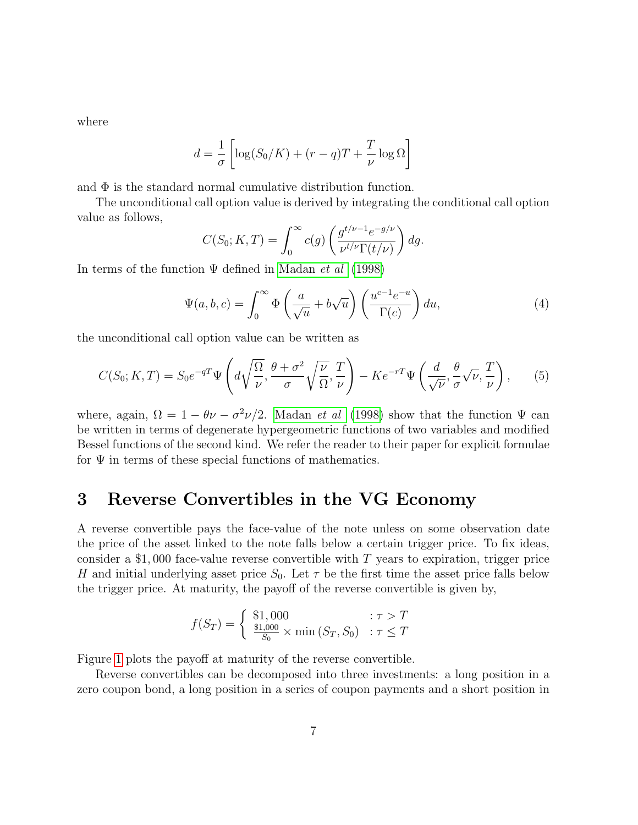where

<span id="page-6-0"></span>
$$
d = \frac{1}{\sigma} \left[ \log(S_0/K) + (r - q)T + \frac{T}{\nu} \log \Omega \right]
$$

and  $\Phi$  is the standard normal cumulative distribution function.

The unconditional call option value is derived by integrating the conditional call option value as follows,

$$
C(S_0; K, T) = \int_0^\infty c(g) \left( \frac{g^{t/\nu - 1} e^{-g/\nu}}{\nu^{t/\nu} \Gamma(t/\nu)} \right) dg.
$$

In terms of the function  $\Psi$  defined in [Madan](#page-19-8) *et al* [\(1998\)](#page-19-8)

$$
\Psi(a,b,c) = \int_0^\infty \Phi\left(\frac{a}{\sqrt{u}} + b\sqrt{u}\right) \left(\frac{u^{c-1}e^{-u}}{\Gamma(c)}\right) du,\tag{4}
$$

the unconditional call option value can be written as

$$
C(S_0; K, T) = S_0 e^{-qT} \Psi \left( d \sqrt{\frac{\Omega}{\nu}}, \frac{\theta + \sigma^2}{\sigma} \sqrt{\frac{\nu}{\Omega}}, \frac{T}{\nu} \right) - K e^{-rT} \Psi \left( \frac{d}{\sqrt{\nu}}, \frac{\theta}{\sigma} \sqrt{\nu}, \frac{T}{\nu} \right), \tag{5}
$$

where, again,  $\Omega = 1 - \theta \nu - \sigma^2 \nu/2$ . [Madan](#page-19-8) *et al* [\(1998\)](#page-19-8) show that the function  $\Psi$  can be written in terms of degenerate hypergeometric functions of two variables and modified Bessel functions of the second kind. We refer the reader to their paper for explicit formulae for  $\Psi$  in terms of these special functions of mathematics.

# 3 Reverse Convertibles in the VG Economy

A reverse convertible pays the face-value of the note unless on some observation date the price of the asset linked to the note falls below a certain trigger price. To fix ideas, consider a \$1,000 face-value reverse convertible with  $T$  years to expiration, trigger price H and initial underlying asset price  $S_0$ . Let  $\tau$  be the first time the asset price falls below the trigger price. At maturity, the payoff of the reverse convertible is given by,

$$
f(S_T) = \begin{cases} \$1,000 & : \tau > T \\ \frac{\$1,000}{S_0} \times \min(S_T, S_0) & : \tau \le T \end{cases}
$$

Figure [1](#page-7-0) plots the payoff at maturity of the reverse convertible.

Reverse convertibles can be decomposed into three investments: a long position in a zero coupon bond, a long position in a series of coupon payments and a short position in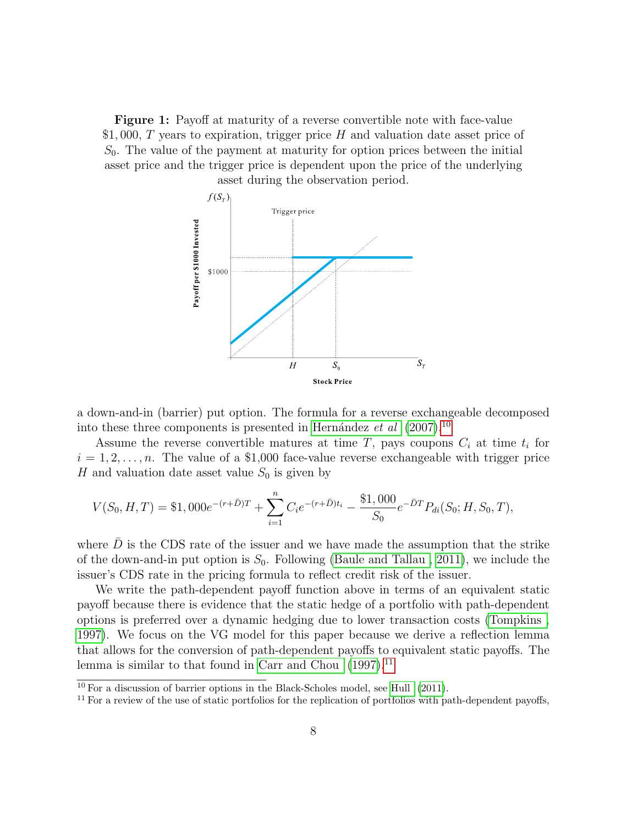<span id="page-7-0"></span>Figure 1: Payoff at maturity of a reverse convertible note with face-value \$1,000,  $T$  years to expiration, trigger price  $H$  and valuation date asset price of  $S_0$ . The value of the payment at maturity for option prices between the initial asset price and the trigger price is dependent upon the price of the underlying



a down-and-in (barrier) put option. The formula for a reverse exchangeable decomposed into these three components is presented in Hernández et al  $(2007)^{10}$  $(2007)^{10}$  $(2007)^{10}$  $(2007)^{10}$ 

Assume the reverse convertible matures at time  $T$ , pays coupons  $C_i$  at time  $t_i$  for  $i = 1, 2, \ldots, n$ . The value of a \$1,000 face-value reverse exchangeable with trigger price H and valuation date asset value  $S_0$  is given by

$$
V(S_0, H, T) = \$1,000e^{-(r+\bar{D})T} + \sum_{i=1}^{n} C_i e^{-(r+\bar{D})t_i} - \frac{\$1,000}{S_0} e^{-\bar{D}T} P_{di}(S_0; H, S_0, T),
$$

where  $\overline{D}$  is the CDS rate of the issuer and we have made the assumption that the strike of the down-and-in put option is  $S_0$ . Following (Baule and Tallau, 2011), we include the issuer's CDS rate in the pricing formula to reflect credit risk of the issuer.

We write the path-dependent payoff function above in terms of an equivalent static payoff because there is evidence that the static hedge of a portfolio with path-dependent options is preferred over a dynamic hedging due to lower transaction costs [\(Tompkins ,](#page-19-9) [1997\)](#page-19-9). We focus on the VG model for this paper because we derive a reflection lemma that allows for the conversion of path-dependent payoffs to equivalent static payoffs. The lemma is similar to that found in Carr and Chou  $(1997)$ .<sup>[11](#page-0-0)</sup>

 $\frac{10}{10}$  For a discussion of barrier options in the Black-Scholes model, see [Hull](#page-18-14) [\(2011\)](#page-18-14).

 $11$  For a review of the use of static portfolios for the replication of portfolios with path-dependent payoffs,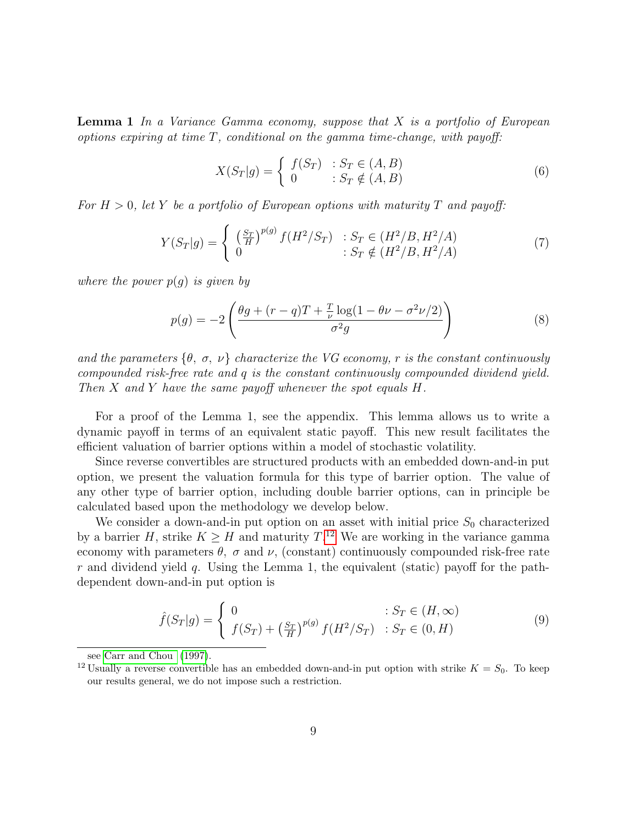**Lemma 1** In a Variance Gamma economy, suppose that X is a portfolio of European options expiring at time  $T$ , conditional on the gamma time-change, with payoff:

$$
X(S_T|g) = \begin{cases} f(S_T) & : S_T \in (A, B) \\ 0 & : S_T \notin (A, B) \end{cases} \tag{6}
$$

For  $H > 0$ , let Y be a portfolio of European options with maturity T and payoff:

$$
Y(S_T|g) = \begin{cases} \left(\frac{S_T}{H}\right)^{p(g)} f(H^2/S_T) & : S_T \in (H^2/B, H^2/A) \\ 0 & : S_T \notin (H^2/B, H^2/A) \end{cases} \tag{7}
$$

where the power  $p(q)$  is given by

$$
p(g) = -2\left(\frac{\theta g + (r - q)T + \frac{T}{\nu}\log(1 - \theta\nu - \sigma^2\nu/2)}{\sigma^2 g}\right) \tag{8}
$$

and the parameters  $\{\theta, \sigma, \nu\}$  characterize the VG economy, r is the constant continuously compounded risk-free rate and q is the constant continuously compounded dividend yield. Then  $X$  and  $Y$  have the same payoff whenever the spot equals  $H$ .

For a proof of the Lemma 1, see the appendix. This lemma allows us to write a dynamic payoff in terms of an equivalent static payoff. This new result facilitates the efficient valuation of barrier options within a model of stochastic volatility.

Since reverse convertibles are structured products with an embedded down-and-in put option, we present the valuation formula for this type of barrier option. The value of any other type of barrier option, including double barrier options, can in principle be calculated based upon the methodology we develop below.

We consider a down-and-in put option on an asset with initial price  $S_0$  characterized by a barrier H, strike  $K \geq H$  and maturity  $T$ .<sup>[12](#page-0-0)</sup> We are working in the variance gamma economy with parameters  $\theta$ ,  $\sigma$  and  $\nu$ , (constant) continuously compounded risk-free rate r and dividend yield q. Using the Lemma 1, the equivalent (static) payoff for the pathdependent down-and-in put option is

$$
\hat{f}(S_T|g) = \begin{cases}\n0 & \text{: } S_T \in (H, \infty) \\
f(S_T) + \left(\frac{S_T}{H}\right)^{p(g)} f(H^2/S_T) & \text{: } S_T \in (0, H)\n\end{cases}
$$
\n(9)

see [Carr and Chou](#page-18-13) [\(1997\)](#page-18-13).

<sup>&</sup>lt;sup>12</sup> Usually a reverse convertible has an embedded down-and-in put option with strike  $K = S_0$ . To keep our results general, we do not impose such a restriction.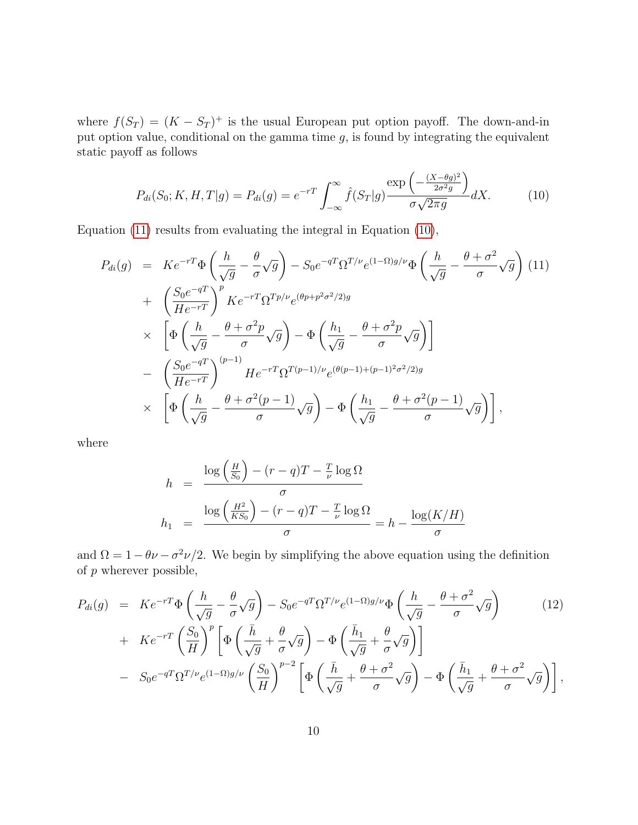where  $f(S_T) = (K - S_T)^+$  is the usual European put option payoff. The down-and-in put option value, conditional on the gamma time  $g$ , is found by integrating the equivalent static payoff as follows

<span id="page-9-1"></span>
$$
P_{di}(S_0; K, H, T|g) = P_{di}(g) = e^{-rT} \int_{-\infty}^{\infty} \hat{f}(S_T|g) \frac{\exp\left(-\frac{(X - \theta g)^2}{2\sigma^2 g}\right)}{\sigma\sqrt{2\pi g}} dX.
$$
 (10)

Equation [\(11\)](#page-9-0) results from evaluating the integral in Equation [\(10\)](#page-9-1),

<span id="page-9-0"></span>
$$
P_{di}(g) = Ke^{-rT}\Phi\left(\frac{h}{\sqrt{g}} - \frac{\theta}{\sigma}\sqrt{g}\right) - S_0e^{-qT}\Omega^{T/\nu}e^{(1-\Omega)g/\nu}\Phi\left(\frac{h}{\sqrt{g}} - \frac{\theta + \sigma^2}{\sigma}\sqrt{g}\right)
$$
(11)  
+ 
$$
\left(\frac{S_0e^{-qT}}{He^{-rT}}\right)^p Ke^{-rT}\Omega^{Tp/\nu}e^{(\theta p + p^2\sigma^2/2)g}
$$
  
 
$$
\times \left[\Phi\left(\frac{h}{\sqrt{g}} - \frac{\theta + \sigma^2p}{\sigma}\sqrt{g}\right) - \Phi\left(\frac{h_1}{\sqrt{g}} - \frac{\theta + \sigma^2p}{\sigma}\sqrt{g}\right)\right]
$$
  
- 
$$
\left(\frac{S_0e^{-qT}}{He^{-rT}}\right)^{(p-1)}He^{-rT}\Omega^{T(p-1)/\nu}e^{(\theta(p-1)+(p-1)^2\sigma^2/2)g}
$$
  
 
$$
\times \left[\Phi\left(\frac{h}{\sqrt{g}} - \frac{\theta + \sigma^2(p-1)}{\sigma}\sqrt{g}\right) - \Phi\left(\frac{h_1}{\sqrt{g}} - \frac{\theta + \sigma^2(p-1)}{\sigma}\sqrt{g}\right)\right],
$$

where

$$
h = \frac{\log\left(\frac{H}{S_0}\right) - (r - q)T - \frac{T}{\nu}\log\Omega}{\sigma}
$$

$$
h_1 = \frac{\log\left(\frac{H^2}{KS_0}\right) - (r - q)T - \frac{T}{\nu}\log\Omega}{\sigma} = h - \frac{\log(K/H)}{\sigma}
$$

and  $\Omega = 1 - \theta \nu - \sigma^2 \nu/2$ . We begin by simplifying the above equation using the definition of  $p$  wherever possible,

$$
P_{di}(g) = Ke^{-rT}\Phi\left(\frac{h}{\sqrt{g}} - \frac{\theta}{\sigma}\sqrt{g}\right) - S_0e^{-qT}\Omega^{T/\nu}e^{(1-\Omega)g/\nu}\Phi\left(\frac{h}{\sqrt{g}} - \frac{\theta + \sigma^2}{\sigma}\sqrt{g}\right) \tag{12}
$$
  
+  $Ke^{-rT}\left(\frac{S_0}{H}\right)^p \left[\Phi\left(\frac{\bar{h}}{\sqrt{g}} + \frac{\theta}{\sigma}\sqrt{g}\right) - \Phi\left(\frac{\bar{h}_1}{\sqrt{g}} + \frac{\theta}{\sigma}\sqrt{g}\right)\right]$   
-  $S_0e^{-qT}\Omega^{T/\nu}e^{(1-\Omega)g/\nu}\left(\frac{S_0}{H}\right)^{p-2} \left[\Phi\left(\frac{\bar{h}}{\sqrt{g}} + \frac{\theta + \sigma^2}{\sigma}\sqrt{g}\right) - \Phi\left(\frac{\bar{h}_1}{\sqrt{g}} + \frac{\theta + \sigma^2}{\sigma}\sqrt{g}\right)\right],$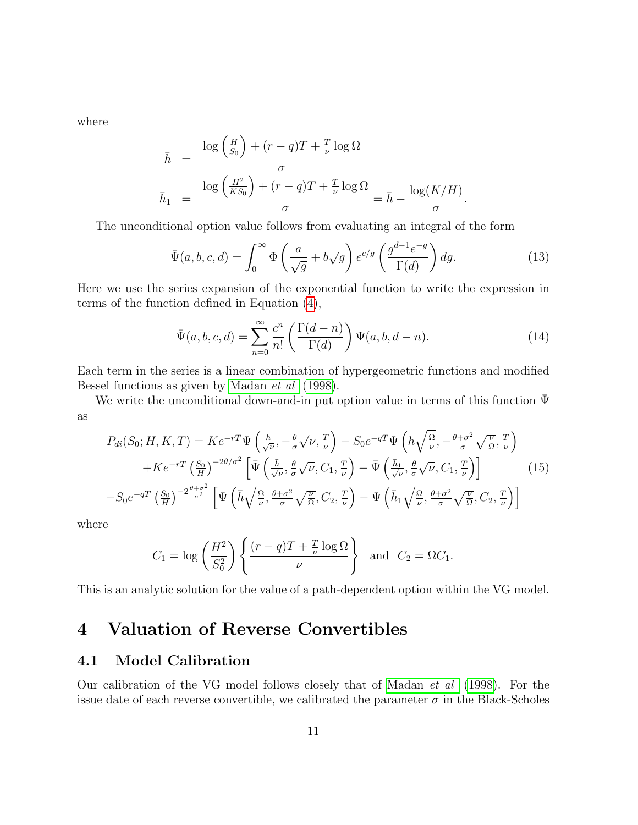where

$$
\bar{h} = \frac{\log\left(\frac{H}{S_0}\right) + (r - q)T + \frac{T}{\nu}\log\Omega}{\sigma}
$$

$$
\bar{h}_1 = \frac{\log\left(\frac{H^2}{KS_0}\right) + (r - q)T + \frac{T}{\nu}\log\Omega}{\sigma} = \bar{h} - \frac{\log(K/H)}{\sigma}.
$$

The unconditional option value follows from evaluating an integral of the form

$$
\bar{\Psi}(a,b,c,d) = \int_0^\infty \Phi\left(\frac{a}{\sqrt{g}} + b\sqrt{g}\right) e^{c/g} \left(\frac{g^{d-1}e^{-g}}{\Gamma(d)}\right) dg. \tag{13}
$$

Here we use the series expansion of the exponential function to write the expression in terms of the function defined in Equation [\(4\)](#page-6-0),

$$
\bar{\Psi}(a,b,c,d) = \sum_{n=0}^{\infty} \frac{c^n}{n!} \left( \frac{\Gamma(d-n)}{\Gamma(d)} \right) \Psi(a,b,d-n). \tag{14}
$$

Each term in the series is a linear combination of hypergeometric functions and modified Bessel functions as given by [Madan](#page-19-8) et al [\(1998\)](#page-19-8).

We write the unconditional down-and-in put option value in terms of this function  $\Psi$ as

$$
P_{di}(S_0; H, K, T) = Ke^{-rT} \Psi\left(\frac{h}{\sqrt{\nu}}, -\frac{\theta}{\sigma} \sqrt{\nu}, \frac{T}{\nu}\right) - S_0 e^{-qT} \Psi\left(h\sqrt{\frac{\Omega}{\nu}}, -\frac{\theta + \sigma^2}{\sigma} \sqrt{\frac{\nu}{\Omega}}, \frac{T}{\nu}\right) + Ke^{-rT} \left(\frac{S_0}{H}\right)^{-2\theta/\sigma^2} \left[\bar{\Psi}\left(\frac{\bar{h}}{\sqrt{\nu}}, \frac{\theta}{\sigma} \sqrt{\nu}, C_1, \frac{T}{\nu}\right) - \bar{\Psi}\left(\frac{\bar{h}}{\sqrt{\nu}}, \frac{\theta}{\sigma} \sqrt{\nu}, C_1, \frac{T}{\nu}\right)\right] \tag{15}
$$

$$
-S_0 e^{-qT} \left(\frac{S_0}{H}\right)^{-2\frac{\theta + \sigma^2}{\sigma^2}} \left[\Psi\left(\bar{h}\sqrt{\frac{\Omega}{\nu}}, \frac{\theta + \sigma^2}{\sigma} \sqrt{\frac{\nu}{\Omega}}, C_2, \frac{T}{\nu}\right) - \Psi\left(\bar{h}_1 \sqrt{\frac{\Omega}{\nu}}, \frac{\theta + \sigma^2}{\sigma} \sqrt{\frac{\nu}{\Omega}}, C_2, \frac{T}{\nu}\right)\right]
$$

where

$$
C_1 = \log\left(\frac{H^2}{S_0^2}\right) \left\{ \frac{(r-q)T + \frac{T}{\nu} \log \Omega}{\nu} \right\} \text{ and } C_2 = \Omega C_1.
$$

This is an analytic solution for the value of a path-dependent option within the VG model.

# 4 Valuation of Reverse Convertibles

### 4.1 Model Calibration

Our calibration of the VG model follows closely that of [Madan](#page-19-8) et al [\(1998\)](#page-19-8). For the issue date of each reverse convertible, we calibrated the parameter  $\sigma$  in the Black-Scholes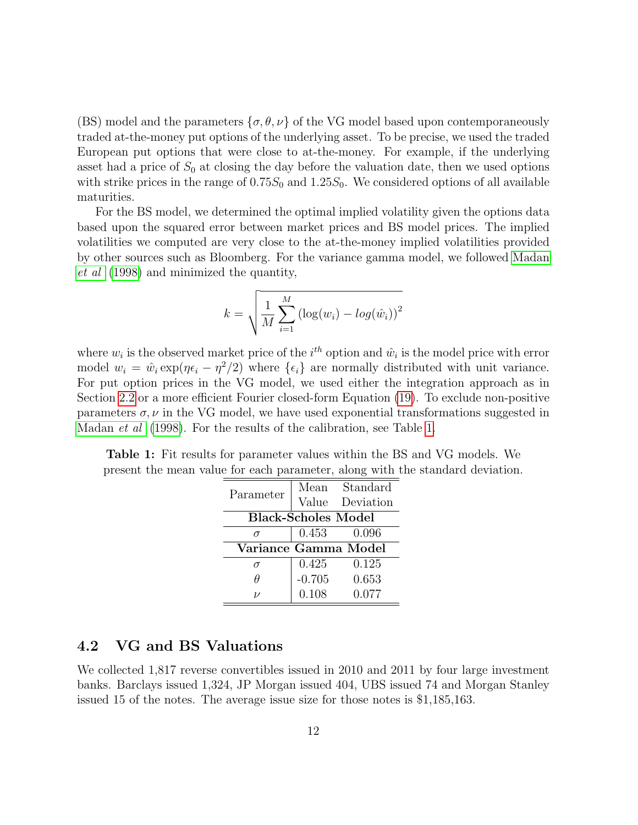(BS) model and the parameters  $\{\sigma, \theta, \nu\}$  of the VG model based upon contemporaneously traded at-the-money put options of the underlying asset. To be precise, we used the traded European put options that were close to at-the-money. For example, if the underlying asset had a price of  $S_0$  at closing the day before the valuation date, then we used options with strike prices in the range of  $0.75S_0$  and  $1.25S_0$ . We considered options of all available maturities.

For the BS model, we determined the optimal implied volatility given the options data based upon the squared error between market prices and BS model prices. The implied volatilities we computed are very close to the at-the-money implied volatilities provided by other sources such as Bloomberg. For the variance gamma model, we followed [Madan](#page-19-8) [et al](#page-19-8) [\(1998\)](#page-19-8) and minimized the quantity,

$$
k = \sqrt{\frac{1}{M} \sum_{i=1}^{M} \left( \log(w_i) - \log(\hat{w}_i) \right)^2}
$$

where  $w_i$  is the observed market price of the  $i^{th}$  option and  $\hat{w}_i$  is the model price with error model  $w_i = \hat{w}_i \exp(\eta \epsilon_i - \eta^2/2)$  where  $\{\epsilon_i\}$  are normally distributed with unit variance. For put option prices in the VG model, we used either the integration approach as in Section [2.2](#page-5-0) or a more efficient Fourier closed-form Equation [\(19\)](#page-17-2). To exclude non-positive parameters  $\sigma, \nu$  in the VG model, we have used exponential transformations suggested in [Madan](#page-19-8) et al [\(1998\)](#page-19-8). For the results of the calibration, see Table [1.](#page-11-0)

| Parameter                  |          | Mean Standard   |  |  |  |
|----------------------------|----------|-----------------|--|--|--|
|                            |          | Value Deviation |  |  |  |
| <b>Black-Scholes Model</b> |          |                 |  |  |  |
| $\sigma$                   | 0.453    | 0.096           |  |  |  |
| Variance Gamma Model       |          |                 |  |  |  |
|                            | 0.425    | 0.125           |  |  |  |
| Н                          | $-0.705$ | 0.653           |  |  |  |
| 11                         | 0.108    | 0.077           |  |  |  |

<span id="page-11-0"></span>Table 1: Fit results for parameter values within the BS and VG models. We present the mean value for each parameter, along with the standard deviation.

### 4.2 VG and BS Valuations

We collected 1,817 reverse convertibles issued in 2010 and 2011 by four large investment banks. Barclays issued 1,324, JP Morgan issued 404, UBS issued 74 and Morgan Stanley issued 15 of the notes. The average issue size for those notes is \$1,185,163.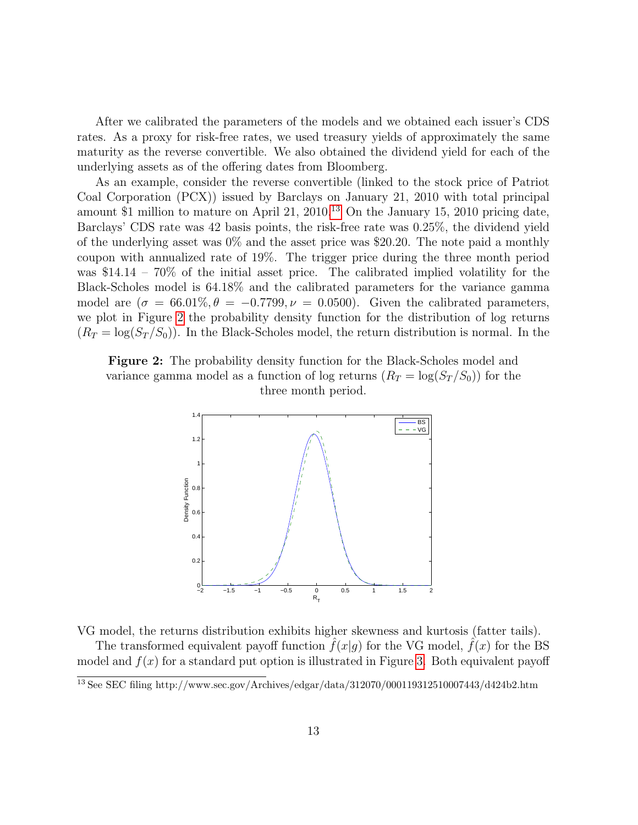After we calibrated the parameters of the models and we obtained each issuer's CDS rates. As a proxy for risk-free rates, we used treasury yields of approximately the same maturity as the reverse convertible. We also obtained the dividend yield for each of the underlying assets as of the offering dates from Bloomberg.

As an example, consider the reverse convertible (linked to the stock price of Patriot Coal Corporation (PCX)) issued by Barclays on January 21, 2010 with total principal amount \$1 million to mature on April 21, 2010.[13](#page-0-0) On the January 15, 2010 pricing date, Barclays' CDS rate was 42 basis points, the risk-free rate was 0.25%, the dividend yield of the underlying asset was 0% and the asset price was \$20.20. The note paid a monthly coupon with annualized rate of 19%. The trigger price during the three month period was \$14.14 – 70% of the initial asset price. The calibrated implied volatility for the Black-Scholes model is 64.18% and the calibrated parameters for the variance gamma model are  $(\sigma = 66.01\%, \theta = -0.7799, \nu = 0.0500)$ . Given the calibrated parameters, we plot in Figure [2](#page-12-0) the probability density function for the distribution of log returns  $(R_T = \log(S_T/S_0))$ . In the Black-Scholes model, the return distribution is normal. In the

<span id="page-12-0"></span>Figure 2: The probability density function for the Black-Scholes model and variance gamma model as a function of log returns  $(R_T = \log(S_T/S_0))$  for the three month period.





The transformed equivalent payoff function  $\hat{f}(x|g)$  for the VG model,  $\hat{f}(x)$  for the BS model and  $f(x)$  for a standard put option is illustrated in Figure [3.](#page-13-0) Both equivalent payoff

<sup>13</sup> See SEC filing http://www.sec.gov/Archives/edgar/data/312070/000119312510007443/d424b2.htm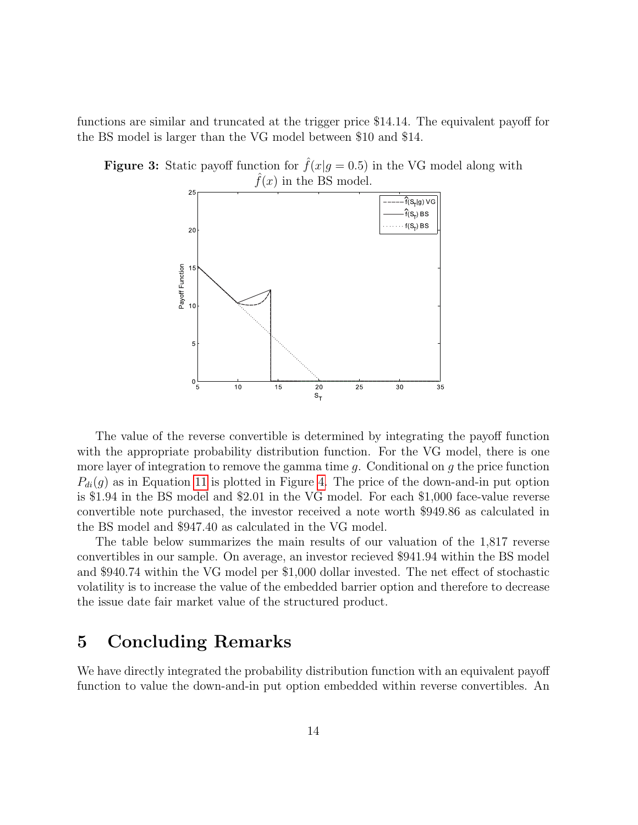functions are similar and truncated at the trigger price \$14.14. The equivalent payoff for the BS model is larger than the VG model between \$10 and \$14.



<span id="page-13-0"></span>**Figure 3:** Static payoff function for  $\hat{f}(x|g = 0.5)$  in the VG model along with  $f(x)$  in the BS model.

The value of the reverse convertible is determined by integrating the payoff function with the appropriate probability distribution function. For the VG model, there is one more layer of integration to remove the gamma time  $q$ . Conditional on  $q$  the price function  $P_{di}(g)$  as in Equation [11](#page-9-0) is plotted in Figure [4.](#page-14-0) The price of the down-and-in put option is \$1.94 in the BS model and \$2.01 in the VG model. For each \$1,000 face-value reverse convertible note purchased, the investor received a note worth \$949.86 as calculated in the BS model and \$947.40 as calculated in the VG model.

The table below summarizes the main results of our valuation of the 1,817 reverse convertibles in our sample. On average, an investor recieved \$941.94 within the BS model and \$940.74 within the VG model per \$1,000 dollar invested. The net effect of stochastic volatility is to increase the value of the embedded barrier option and therefore to decrease the issue date fair market value of the structured product.

### 5 Concluding Remarks

We have directly integrated the probability distribution function with an equivalent payoff function to value the down-and-in put option embedded within reverse convertibles. An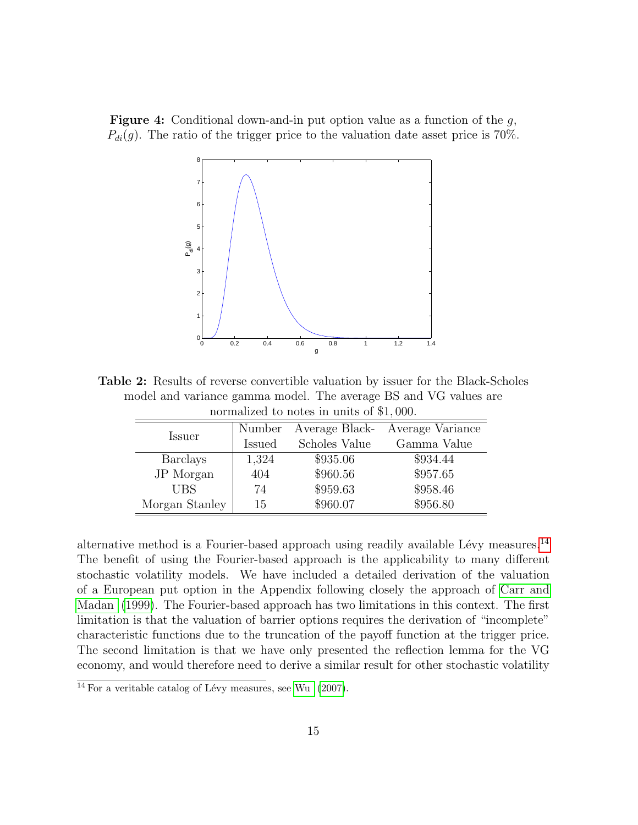<span id="page-14-0"></span>**Figure 4:** Conditional down-and-in put option value as a function of the  $g$ ,  $P_{di}(g)$ . The ratio of the trigger price to the valuation date asset price is 70%.



Table 2: Results of reverse convertible valuation by issuer for the Black-Scholes model and variance gamma model. The average BS and VG values are normalized to notes in units of \$1, 000.

| Issuer          | Number        | Average Black- | Average Variance |
|-----------------|---------------|----------------|------------------|
|                 | <b>Issued</b> | Scholes Value  | Gamma Value      |
| <b>Barclays</b> | 1,324         | \$935.06       | \$934.44         |
| JP Morgan       | 404           | \$960.56       | \$957.65         |
| <b>UBS</b>      | 74            | \$959.63       | \$958.46         |
| Morgan Stanley  | 15            | \$960.07       | \$956.80         |

alternative method is a Fourier-based approach using readily available Lévy measures.<sup>[14](#page-0-0)</sup> The benefit of using the Fourier-based approach is the applicability to many different stochastic volatility models. We have included a detailed derivation of the valuation of a European put option in the Appendix following closely the approach of [Carr and](#page-18-8) [Madan \(1999\)](#page-18-8). The Fourier-based approach has two limitations in this context. The first limitation is that the valuation of barrier options requires the derivation of "incomplete" characteristic functions due to the truncation of the payoff function at the trigger price. The second limitation is that we have only presented the reflection lemma for the VG economy, and would therefore need to derive a similar result for other stochastic volatility

 $\frac{14}{14}$  For a veritable catalog of Lévy measures, see [Wu](#page-19-1) [\(2007\)](#page-19-1).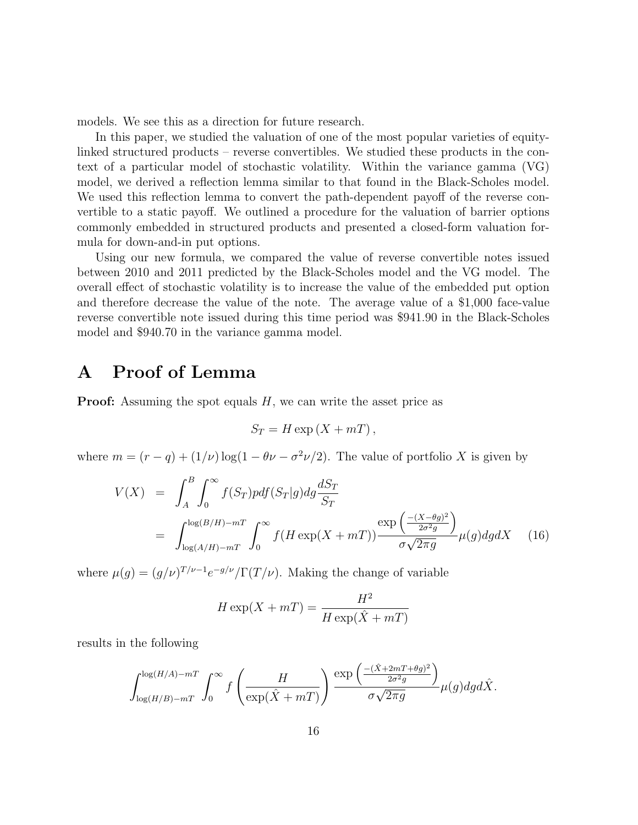models. We see this as a direction for future research.

In this paper, we studied the valuation of one of the most popular varieties of equitylinked structured products – reverse convertibles. We studied these products in the context of a particular model of stochastic volatility. Within the variance gamma (VG) model, we derived a reflection lemma similar to that found in the Black-Scholes model. We used this reflection lemma to convert the path-dependent payoff of the reverse convertible to a static payoff. We outlined a procedure for the valuation of barrier options commonly embedded in structured products and presented a closed-form valuation formula for down-and-in put options.

Using our new formula, we compared the value of reverse convertible notes issued between 2010 and 2011 predicted by the Black-Scholes model and the VG model. The overall effect of stochastic volatility is to increase the value of the embedded put option and therefore decrease the value of the note. The average value of a \$1,000 face-value reverse convertible note issued during this time period was \$941.90 in the Black-Scholes model and \$940.70 in the variance gamma model.

# A Proof of Lemma

**Proof:** Assuming the spot equals  $H$ , we can write the asset price as

$$
S_T = H \exp\left(X + mT\right),\,
$$

where  $m = (r - q) + (1/\nu) \log(1 - \theta \nu - \sigma^2 \nu/2)$ . The value of portfolio X is given by

$$
V(X) = \int_{A}^{B} \int_{0}^{\infty} f(S_T) p df(S_T|g) dg \frac{dS_T}{S_T}
$$
  
= 
$$
\int_{\log(A/H)-mT}^{\log(B/H)-mT} \int_{0}^{\infty} f(H \exp(X+mT)) \frac{\exp\left(\frac{-(X-\theta g)^2}{2\sigma^2 g}\right)}{\sigma \sqrt{2\pi g}} \mu(g) dg dX \quad (16)
$$

where  $\mu(g) = (g/\nu)^{T/\nu - 1} e^{-g/\nu} / \Gamma(T/\nu)$ . Making the change of variable

$$
H \exp(X + mT) = \frac{H^2}{H \exp(\hat{X} + mT)}
$$

results in the following

$$
\int_{\log(H/B)-mT}^{\log(H/A)-mT} \int_0^\infty f\left(\frac{H}{\exp(\hat{X}+mT)}\right) \frac{\exp\left(\frac{-(\hat{X}+2mT+\theta g)^2}{2\sigma^2 g}\right)}{\sigma\sqrt{2\pi g}} \mu(g) dg d\hat{X}.
$$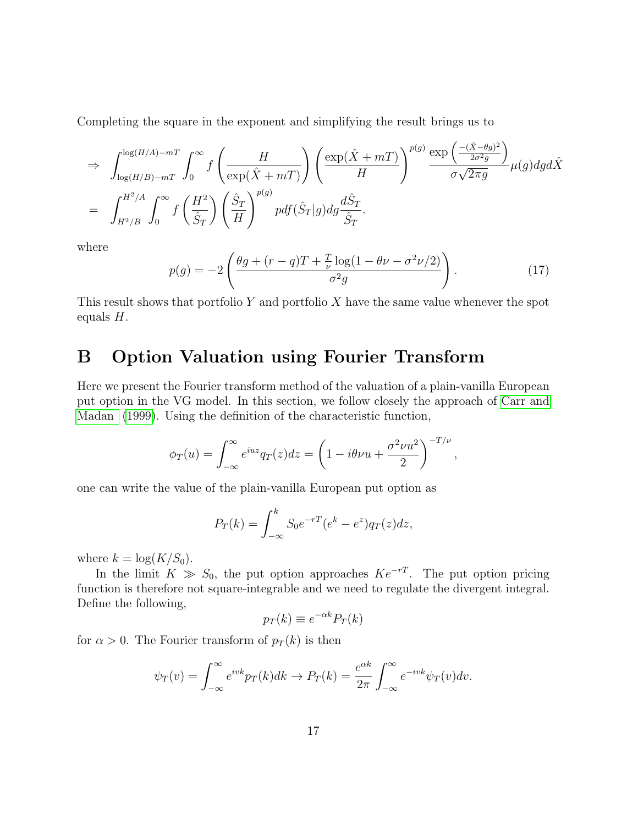Completing the square in the exponent and simplifying the result brings us to

$$
\Rightarrow \int_{\log(H/B)-mT}^{\log(H/A)-mT} \int_0^\infty f\left(\frac{H}{\exp(\hat{X}+mT)}\right) \left(\frac{\exp(\hat{X}+mT)}{H}\right)^{p(g)} \frac{\exp\left(\frac{-(\hat{X}-\theta g)^2}{2\sigma^2 g}\right)}{\sigma\sqrt{2\pi g}} \mu(g) dg d\hat{X}
$$
  
= 
$$
\int_{H^2/B}^{H^2/A} \int_0^\infty f\left(\frac{H^2}{\hat{S}_T}\right) \left(\frac{\hat{S}_T}{H}\right)^{p(g)} p df(\hat{S}_T | g) dg \frac{d\hat{S}_T}{\hat{S}_T}.
$$

where

$$
p(g) = -2\left(\frac{\theta g + (r - q)T + \frac{T}{\nu}\log(1 - \theta\nu - \sigma^2\nu/2)}{\sigma^2 g}\right). \tag{17}
$$

This result shows that portfolio  $Y$  and portfolio  $X$  have the same value whenever the spot equals  $H$ .

# B Option Valuation using Fourier Transform

Here we present the Fourier transform method of the valuation of a plain-vanilla European put option in the VG model. In this section, we follow closely the approach of [Carr and](#page-18-8) [Madan \(1999\)](#page-18-8). Using the definition of the characteristic function,

$$
\phi_T(u) = \int_{-\infty}^{\infty} e^{iuz} q_T(z) dz = \left(1 - i\theta \nu u + \frac{\sigma^2 \nu u^2}{2}\right)^{-T/\nu},
$$

one can write the value of the plain-vanilla European put option as

$$
P_T(k) = \int_{-\infty}^k S_0 e^{-rT} (e^k - e^z) q_T(z) dz,
$$

where  $k = \log(K/S_0)$ .

In the limit  $K \gg S_0$ , the put option approaches  $Ke^{-rT}$ . The put option pricing function is therefore not square-integrable and we need to regulate the divergent integral. Define the following,

$$
p_T(k) \equiv e^{-\alpha k} P_T(k)
$$

for  $\alpha > 0$ . The Fourier transform of  $p_T(k)$  is then

$$
\psi_T(v) = \int_{-\infty}^{\infty} e^{ivk} p_T(k) dk \to P_T(k) = \frac{e^{\alpha k}}{2\pi} \int_{-\infty}^{\infty} e^{-ivk} \psi_T(v) dv.
$$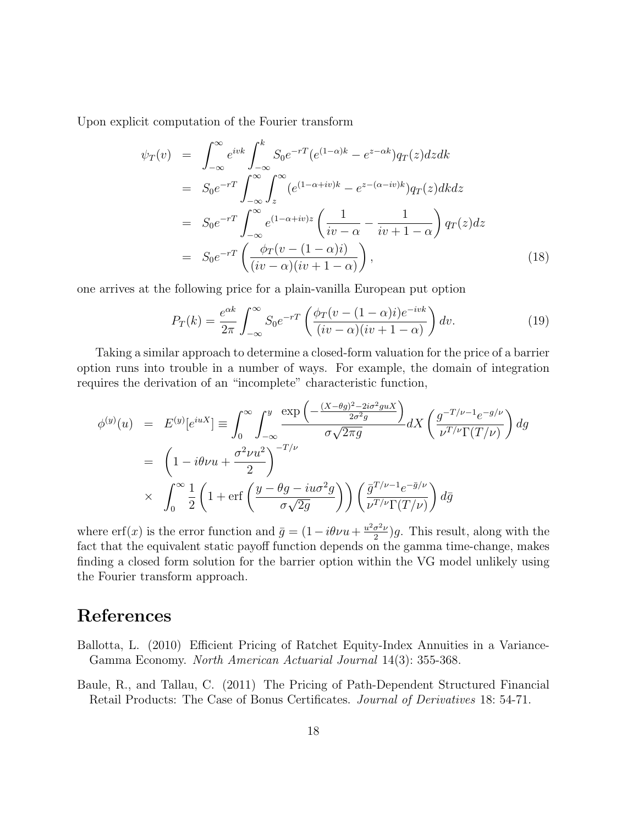Upon explicit computation of the Fourier transform

$$
\psi_T(v) = \int_{-\infty}^{\infty} e^{ivk} \int_{-\infty}^{k} S_0 e^{-r} (e^{(1-\alpha)k} - e^{z-\alpha k}) q_T(z) dz dk
$$
  
\n
$$
= S_0 e^{-r} \int_{-\infty}^{\infty} \int_{z}^{\infty} (e^{(1-\alpha+iv)k} - e^{z-(\alpha-iv)k}) q_T(z) dk dz
$$
  
\n
$$
= S_0 e^{-r} \int_{-\infty}^{\infty} e^{(1-\alpha+iv)z} \left( \frac{1}{iv - \alpha} - \frac{1}{iv + 1 - \alpha} \right) q_T(z) dz
$$
  
\n
$$
= S_0 e^{-r} \left( \frac{\phi_T(v - (1 - \alpha)i)}{(iv - \alpha)(iv + 1 - \alpha)} \right),
$$
\n(18)

one arrives at the following price for a plain-vanilla European put option

<span id="page-17-2"></span>
$$
P_T(k) = \frac{e^{\alpha k}}{2\pi} \int_{-\infty}^{\infty} S_0 e^{-rT} \left( \frac{\phi_T(v - (1 - \alpha)i)e^{-ivk}}{(iv - \alpha)(iv + 1 - \alpha)} \right) dv.
$$
 (19)

Taking a similar approach to determine a closed-form valuation for the price of a barrier option runs into trouble in a number of ways. For example, the domain of integration requires the derivation of an "incomplete" characteristic function,

$$
\phi^{(y)}(u) = E^{(y)}[e^{iuX}] \equiv \int_0^\infty \int_{-\infty}^y \frac{\exp\left(-\frac{(X-\theta g)^2 - 2i\sigma^2 g u X}{2\sigma^2 g}\right)}{\sigma\sqrt{2\pi g}} dX \left(\frac{g^{-T/\nu - 1}e^{-g/\nu}}{\nu^{T/\nu}\Gamma(T/\nu)}\right) dg
$$
  

$$
= \left(1 - i\theta \nu u + \frac{\sigma^2 \nu u^2}{2}\right)^{-T/\nu}
$$
  

$$
\times \int_0^\infty \frac{1}{2} \left(1 + \text{erf}\left(\frac{y - \theta g - i u \sigma^2 g}{\sigma\sqrt{2g}}\right)\right) \left(\frac{\bar{g}^{T/\nu - 1}e^{-\bar{g}/\nu}}{\nu^{T/\nu}\Gamma(T/\nu)}\right) d\bar{g}
$$

where erf(x) is the error function and  $\bar{g} = (1 - i\theta\nu u + \frac{u^2 \sigma^2 \nu}{2})$  $\frac{\sigma^2 \nu}{2}$ )g. This result, along with the fact that the equivalent static payoff function depends on the gamma time-change, makes finding a closed form solution for the barrier option within the VG model unlikely using the Fourier transform approach.

# References

- <span id="page-17-1"></span>Ballotta, L. (2010) Efficient Pricing of Ratchet Equity-Index Annuities in a Variance-Gamma Economy. North American Actuarial Journal 14(3): 355-368.
- <span id="page-17-0"></span>Baule, R., and Tallau, C. (2011) The Pricing of Path-Dependent Structured Financial Retail Products: The Case of Bonus Certificates. Journal of Derivatives 18: 54-71.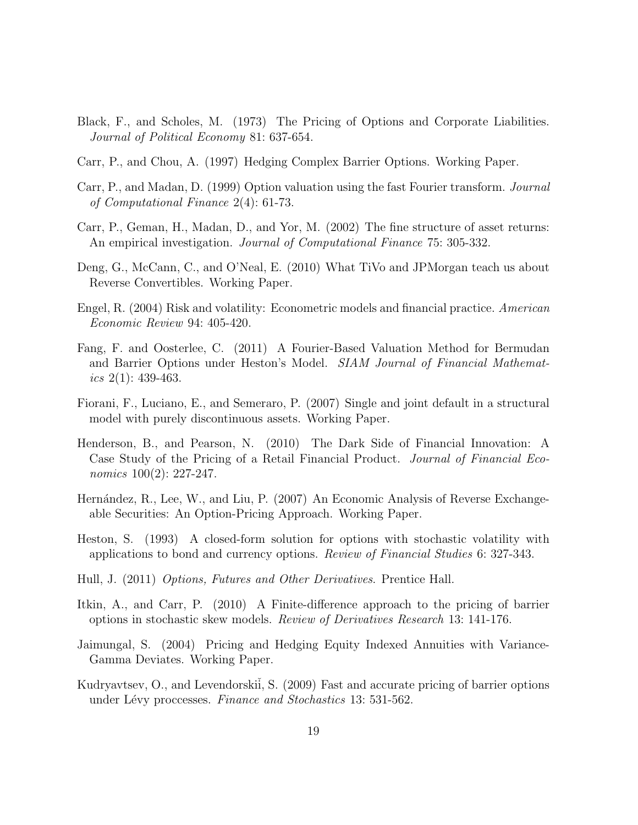- <span id="page-18-9"></span>Black, F., and Scholes, M. (1973) The Pricing of Options and Corporate Liabilities. Journal of Political Economy 81: 637-654.
- <span id="page-18-13"></span>Carr, P., and Chou, A. (1997) Hedging Complex Barrier Options. Working Paper.
- <span id="page-18-8"></span>Carr, P., and Madan, D. (1999) Option valuation using the fast Fourier transform. Journal of Computational Finance 2(4): 61-73.
- <span id="page-18-5"></span>Carr, P., Geman, H., Madan, D., and Yor, M. (2002) The fine structure of asset returns: An empirical investigation. *Journal of Computational Finance* 75: 305-332.
- <span id="page-18-0"></span>Deng, G., McCann, C., and O'Neal, E. (2010) What TiVo and JPMorgan teach us about Reverse Convertibles. Working Paper.
- <span id="page-18-3"></span>Engel, R. (2004) Risk and volatility: Econometric models and financial practice. American Economic Review 94: 405-420.
- <span id="page-18-12"></span>Fang, F. and Oosterlee, C. (2011) A Fourier-Based Valuation Method for Bermudan and Barrier Options under Heston's Model. SIAM Journal of Financial Mathematics  $2(1)$ : 439-463.
- <span id="page-18-6"></span>Fiorani, F., Luciano, E., and Semeraro, P. (2007) Single and joint default in a structural model with purely discontinuous assets. Working Paper.
- <span id="page-18-2"></span>Henderson, B., and Pearson, N. (2010) The Dark Side of Financial Innovation: A Case Study of the Pricing of a Retail Financial Product. Journal of Financial Economics  $100(2)$ : 227-247.
- <span id="page-18-1"></span>Hernández, R., Lee, W., and Liu, P. (2007) An Economic Analysis of Reverse Exchangeable Securities: An Option-Pricing Approach. Working Paper.
- <span id="page-18-7"></span>Heston, S. (1993) A closed-form solution for options with stochastic volatility with applications to bond and currency options. Review of Financial Studies 6: 327-343.
- <span id="page-18-14"></span>Hull, J. (2011) Options, Futures and Other Derivatives. Prentice Hall.
- <span id="page-18-11"></span>Itkin, A., and Carr, P. (2010) A Finite-difference approach to the pricing of barrier options in stochastic skew models. Review of Derivatives Research 13: 141-176.
- <span id="page-18-4"></span>Jaimungal, S. (2004) Pricing and Hedging Equity Indexed Annuities with Variance-Gamma Deviates. Working Paper.
- <span id="page-18-10"></span>Kudryavtsev, O., and Levendorskii, S. (2009) Fast and accurate pricing of barrier options under Lévy proccesses. Finance and Stochastics 13: 531-562.